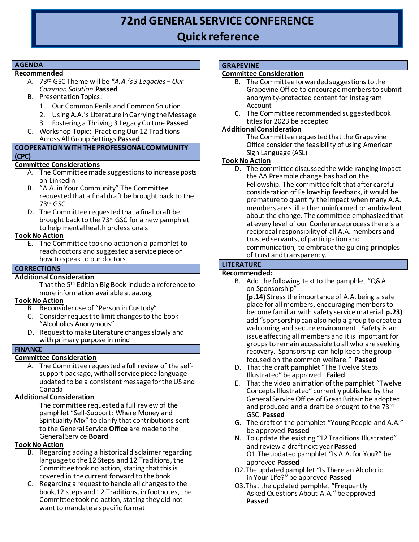# **72nd GENERAL SERVICE CONFERENCE Quick reference**

# **AGENDA**

#### **Recommended**

- A. 73 rd GSC Theme will be *"A.A.'s 3 Legacies – Our Common Solution* **Passed**
- B. Presentation Topics:
	- 1. Our Common Perils and Common Solution
	- 2. Using A.A.'s Literature in Carrying the Message
	- 3. Fostering a Thriving 3 Legacy Culture **Passed**
- C. Workshop Topic: Practicing Our 12 Traditions Across All Group Settings **Passed**

# **COOPERATION WITH THE PROFESSIONAL COMMUNITY (CPC)**

#### **Committee Considerations**

- A. The Committee made suggestions to increase posts on LinkedIn
- B. "A.A. in Your Community" The Committee requested that a final draft be brought back to the 73rd GSC
- D. The Committee requested that a final draft be brought back to the 73rd GSC for a new pamphlet to help mental health professionals

#### **Took No Action**

E. The Committee took no action on a pamphlet to reach doctors and suggested a service piece on how to speak to our doctors

#### **CORRECTIONS**

# **Additional Consideration**

That the 5<sup>th</sup> Edition Big Book include a reference to more information available at aa.org

#### **Took No Action**

- B. Reconsider use of "Person in Custody"
- C. Consider request to limit changes to the book "Alcoholics Anonymous"
- D. Request to make Literature changes slowly and with primary purpose in mind

# **FINANCE**

# **Committee Consideration**

A. The Committee requested a full review of the selfsupport package, with all service piece language updated to be a consistent message for the US and Canada

# **Additional Consideration**

The committee requested a full review of the pamphlet "Self-Support: Where Money and Spirituality Mix" to clarify that contributions sent to the General Service **Office** are made to the General Service **Board**

#### **Took No Action**

- B. Regarding adding a historical disclaimer regarding language to the 12 Steps and 12 Traditions, the Committee took no action, stating that this is covered in the current forward to the book
- C. Regarding a request to handle all changes to the book,12 steps and 12 Traditions, in footnotes, the Committee took no action, stating they did not want to mandate a specific format

# **GRAPEVINE**

# **Committee Consideration**

- B. The Committee forwarded suggestions to the Grapevine Office to encourage members to submit anonymity-protected content for Instagram Account
- **C.** The Committee recommended suggested book titles for 2023 be accepted

# **Additional Consideration**

The Committee requested that the Grapevine Office consider the feasibility of using American Sign Language (ASL)

#### **Took No Action**

D. The committee discussed the wide-ranging impact the AA Preamble change has had on the Fellowship. The committee felt that after careful consideration of Fellowship feedback, it would be premature to quantify the impact when many A.A. members are still either uninformed or ambivalent about the change. The committee emphasized that at every level of our Conference process there is a reciprocal responsibility of all A.A. members and trusted servants, of participation and communication, to embrace the guiding principles of trust and transparency.

# **LITERATURE**

#### **Recommended:**

B. Add the following text to the pamphlet "Q&A on Sponsorship":

**(p.14)** Stress the importance of A.A. being a safe place for all members, encouraging members to become familiar with safety service material **p.23)** add "sponsorship can also help a group to create a welcoming and secure environment. Safety is an issue affecting all members and it is important for groups to remain accessible to all who are seeking recovery. Sponsorship can help keep the group focused on the common welfare." **Passed**

- D. That the draft pamphlet "The Twelve Steps Illustrated" be approved **Failed**
- E. That the video animation of the pamphlet "Twelve Concepts Illustrated" currently published by the General Service Office of Great Britain be adopted and produced and a draft be brought to the 73rd GSC. **Passed**
- G. The draft of the pamphlet "Young People and A.A." be approved **Passed**
- N. To update the existing "12 Traditions Illustrated" and review a draft next year **Passed** O1.The updated pamphlet "Is A.A. for You?" be approved **Passed**
- O2.The updated pamphlet "Is There an Alcoholic in Your Life?" be approved **Passed**
- O3.That the updated pamphlet "Frequently Asked Questions About A.A." be approved **Passed**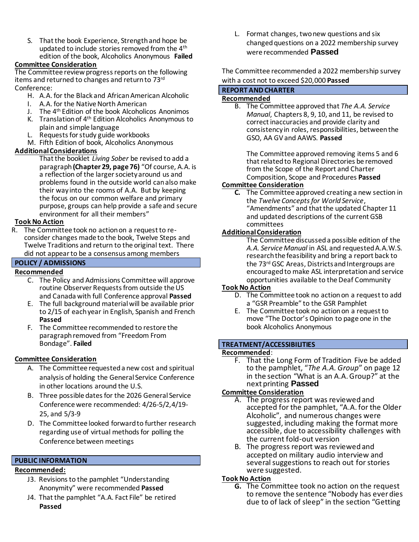S. That the book Experience, Strength and hope be updated to include stories removed from the 4<sup>th</sup> edition of the book, Alcoholics Anonymous **Failed**

# **Committee Consideration**

The Committee review progress reports on the following items and returned to changes and return to 73rd Conference:

- H. A.A. for the Black and African American Alcoholic
- I. A.A. for the Native North American
- J. The 4th Edition of the book Alcoholicos Anonimos K. Translation of 4th Edition Alcoholics Anonymous to plain and simple language
- L. Requests for study guide workbooks
- M. Fifth Edition of book, Alcoholics Anonymous

# **Additional Considerations**

That the booklet *Living Sober* be revised to add a paragraph **(Chapter 29, page 76)** "Of course, A.A. is a reflection of the larger society around us and problems found in the outside world can also make their way into the rooms of A.A. But by keeping the focus on our common welfare and primary purpose, groups can help provide a safe and secure environment for all their members"

# **Took No Action**

R. The Committee took no action on a request to reconsider changes made to the book, Twelve Steps and Twelve Traditions and return to the original text. There did not appear to be a consensus among members

#### **POLICY / ADMISSIONS**

#### **Recommended**

- C. The Policy and Admissions Committee will approve routine Observer Requests from outside the US and Canada with full Conference approval **Passed**
- E. The full background material will be available prior to 2/15 of each year in English, Spanish and French **Passed**
- F. The Committee recommended to restore the paragraph removed from "Freedom From Bondage". **Failed**

# **Committee Consideration**

- A. The Committee requested a new cost and spiritual analysis of holding the General Service Conference in other locations around the U.S.
- B. Three possible dates for the 2026 General Service Conference were recommended: 4/26-5/2,4/19- 25, and 5/3-9
- D. The Committee looked forward to further research regarding use of virtual methods for polling the Conference between meetings

#### **PUBLIC INFORMATION**

# **Recommended:**

- J3. Revisions to the pamphlet "Understanding Anonymity" were recommended **Passed**
- J4. That the pamphlet "A.A. Fact File" be retired **Passed**

L. Format changes, two new questions and six changed questions on a 2022 membership survey were recommended **Passed**

The Committee recommended a 2022 membership survey with a cost not to exceed \$20,000 **Passed**

# **REPORT AND CHARTER**

# **Recommended**

B. The Committee approved that *The A.A. Service Manual*, Chapters 8, 9, 10, and 11, be revised to correct inaccuracies and provide clarity and consistency in roles, responsibilities, between the GSO, AA GV and AAWS. **Passed**

The Committee approved removing items 5 and 6 that related to Regional Directories be removed from the Scope of the Report and Charter Composition, Scope and Procedures **Passed**

#### **Committee Consideration**

**C.** The Committee approved creating a new section in the *Twelve Concepts for World Service*, "Amendments" and that the updated Chapter 11 and updated descriptions of the current GSB committees

#### **Additional Consideration**

The Committee discussed a possible edition of the *A.A. Service Manual* in ASL and requested A.A.W.S. research the feasibility and bring a report back to the 73rd GSC Areas, Districts and Intergroups are encouraged to make ASL interpretation and service opportunities available to the Deaf Community

#### **Took No Action**

- D. The Committee took no action on a request to add a "GSR Preamble" to the GSR Pamphlet
- E. The Committee took no action on a request to move "The Doctor's Opinion to page one in the book Alcoholics Anonymous

#### **TREATMENT/ACCESSIBILITIES**

#### **Recommended**:

F. That the Long Form of Tradition Five be added to the pamphlet, "*The A.A. Group*" on page 12 in the section "What is an A.A. Group?" at the next printing **Passed**

#### **Committee Consideration**

- A. The progress report was reviewed and accepted for the pamphlet, "A.A. for the Older Alcoholic", and numerous changes were suggested, including making the format more accessible, due to accessibility challenges with the current fold-out version
- B. The progress report was reviewed and accepted on military audio interview and several suggestions to reach out for stories were suggested.

#### **Took No Action**

**G.** The Committee took no action on the request to remove the sentence "Nobody has ever dies due to of lack of sleep" in the section "Getting